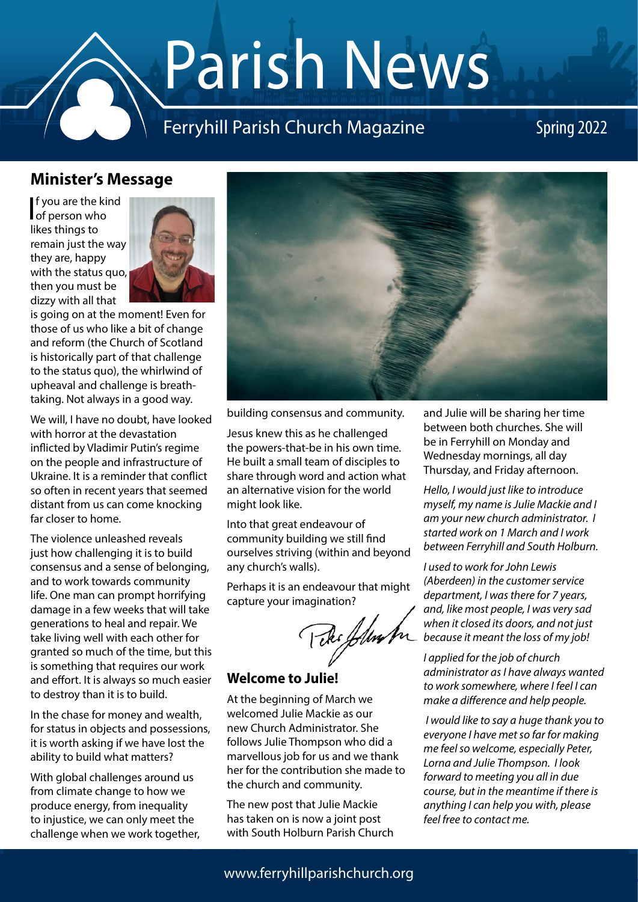# Parish News

### Ferryhill Parish Church Magazine Spring 2022

#### **Minister's Message**

If you are the kind<br>of person who of person who likes things to remain just the way they are, happy with the status quo, then you must be dizzy with all that



is going on at the moment! Even for those of us who like a bit of change and reform (the Church of Scotland is historically part of that challenge to the status quo), the whirlwind of upheaval and challenge is breathtaking. Not always in a good way.

We will, I have no doubt, have looked with horror at the devastation inflicted by Vladimir Putin's regime on the people and infrastructure of Ukraine. It is a reminder that conflict so often in recent years that seemed distant from us can come knocking far closer to home.

The violence unleashed reveals just how challenging it is to build consensus and a sense of belonging, and to work towards community life. One man can prompt horrifying damage in a few weeks that will take generations to heal and repair. We take living well with each other for granted so much of the time, but this is something that requires our work and effort. It is always so much easier to destroy than it is to build.

In the chase for money and wealth, for status in objects and possessions, it is worth asking if we have lost the ability to build what matters?

With global challenges around us from climate change to how we produce energy, from inequality to injustice, we can only meet the challenge when we work together,



building consensus and community.

Jesus knew this as he challenged the powers-that-be in his own time. He built a small team of disciples to share through word and action what an alternative vision for the world might look like.

Into that great endeavour of community building we still find ourselves striving (within and beyond any church's walls).

Perhaps it is an endeavour that might capture your imagination?

Peter fluster

#### **Welcome to Julie!**

At the beginning of March we welcomed Julie Mackie as our new Church Administrator. She follows Julie Thompson who did a marvellous job for us and we thank her for the contribution she made to the church and community.

The new post that Julie Mackie has taken on is now a joint post with South Holburn Parish Church and Julie will be sharing her time between both churches. She will be in Ferryhill on Monday and Wednesday mornings, all day Thursday, and Friday afternoon.

*Hello, I would just like to introduce myself, my name is Julie Mackie and I am your new church administrator. I started work on 1 March and I work between Ferryhill and South Holburn.*

*I used to work for John Lewis (Aberdeen) in the customer service department, I was there for 7 years, and, like most people, I was very sad when it closed its doors, and not just because it meant the loss of my job!*

*I applied for the job of church administrator as I have always wanted to work somewhere, where I feel I can make a difference and help people.*

 *I would like to say a huge thank you to everyone I have met so far for making me feel so welcome, especially Peter, Lorna and Julie Thompson. I look forward to meeting you all in due course, but in the meantime if there is anything I can help you with, please feel free to contact me.*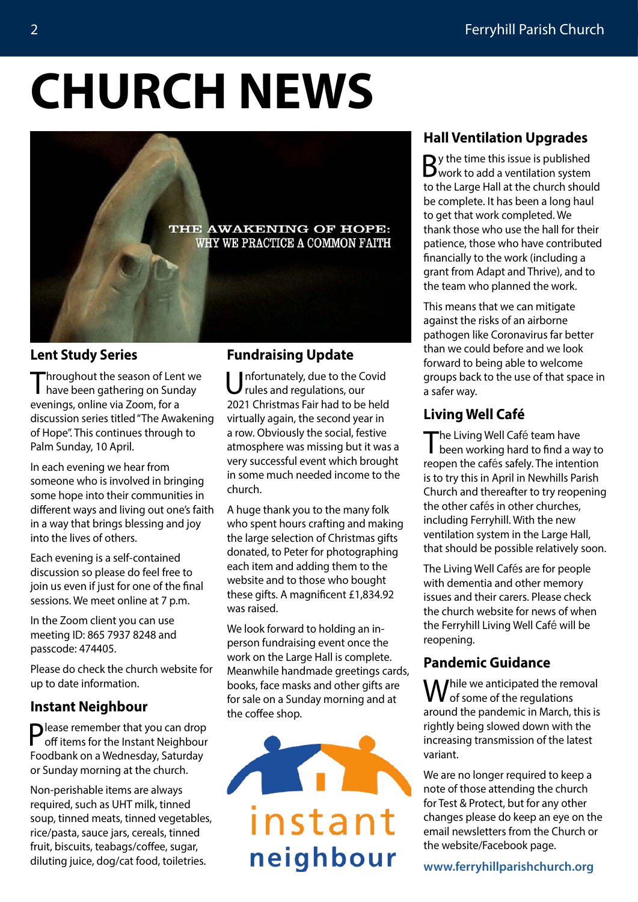## **CHURCH NEWS**



#### **Lent Study Series**

Throughout the season of Lent we have been gathering on Sunday evenings, online via Zoom, for a discussion series titled "The Awakening of Hope". This continues through to Palm Sunday, 10 April.

In each evening we hear from someone who is involved in bringing some hope into their communities in different ways and living out one's faith in a way that brings blessing and joy into the lives of others.

Each evening is a self-contained discussion so please do feel free to join us even if just for one of the final sessions. We meet online at 7 p.m.

In the Zoom client you can use meeting ID: 865 7937 8248 and passcode: 474405.

Please do check the church website for up to date information.

#### **Instant Neighbour**

Please remember that you can drop off items for the Instant Neighbour Foodbank on a Wednesday, Saturday or Sunday morning at the church.

Non-perishable items are always required, such as UHT milk, tinned soup, tinned meats, tinned vegetables, rice/pasta, sauce jars, cereals, tinned fruit, biscuits, teabags/coffee, sugar, diluting juice, dog/cat food, toiletries.

#### **Fundraising Update**

nfortunately, due to the Covid rules and regulations, our 2021 Christmas Fair had to be held virtually again, the second year in a row. Obviously the social, festive atmosphere was missing but it was a very successful event which brought in some much needed income to the church.

A huge thank you to the many folk who spent hours crafting and making the large selection of Christmas gifts donated, to Peter for photographing each item and adding them to the website and to those who bought these gifts. A magnificent £1,834.92 was raised.

We look forward to holding an inperson fundraising event once the work on the Large Hall is complete. Meanwhile handmade greetings cards, books, face masks and other gifts are for sale on a Sunday morning and at the coffee shop.



#### **Hall Ventilation Upgrades**

By the time this issue is published<br>Bwork to add a ventilation system to the Large Hall at the church should be complete. It has been a long haul to get that work completed. We thank those who use the hall for their patience, those who have contributed financially to the work (including a grant from Adapt and Thrive), and to the team who planned the work.

This means that we can mitigate against the risks of an airborne pathogen like Coronavirus far better than we could before and we look forward to being able to welcome groups back to the use of that space in a safer way.

#### **Living Well Café**

The Living Well Café team have<br>been working hard to find a way to reopen the cafés safely. The intention is to try this in April in Newhills Parish Church and thereafter to try reopening the other cafés in other churches, including Ferryhill. With the new ventilation system in the Large Hall, that should be possible relatively soon.

The Living Well Cafés are for people with dementia and other memory issues and their carers. Please check the church website for news of when the Ferryhill Living Well Café will be reopening.

#### **Pandemic Guidance**

While we anticipated the removal<br> **W** of some of the regulations around the pandemic in March, this is rightly being slowed down with the increasing transmission of the latest variant.

We are no longer required to keep a note of those attending the church for Test & Protect, but for any other changes please do keep an eye on the email newsletters from the Church or the website/Facebook page.

**[www.ferryhillparishchurch.org](http://www.ferryhillparishchurch.org)**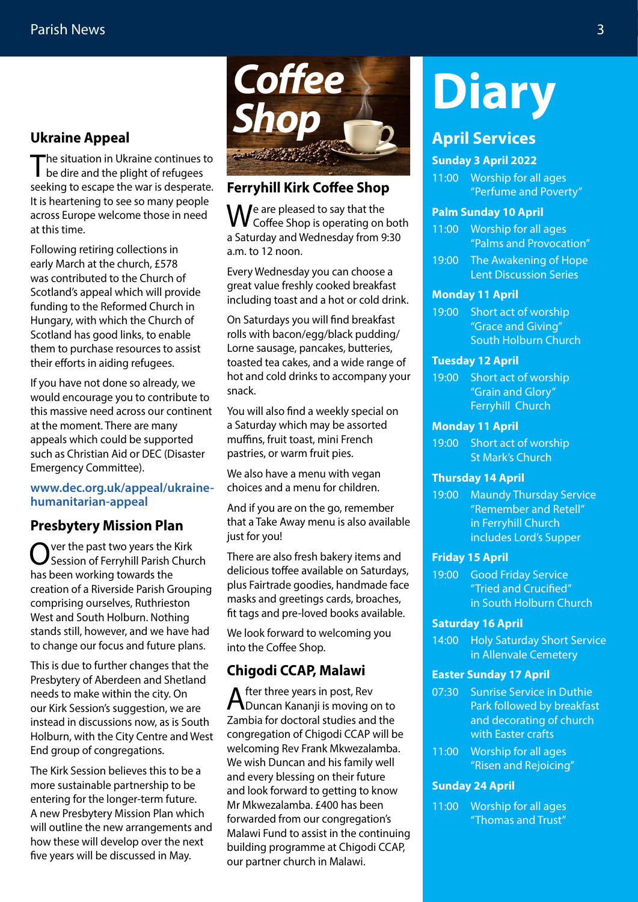#### **Ukraine Appeal**

The situation in Ukraine continues to<br>be dire and the plight of refugees seeking to escape the war is desperate. It is heartening to see so many people across Europe welcome those in need at this time.

Following retiring collections in early March at the church, £578 was contributed to the Church of Scotland's appeal which will provide funding to the Reformed Church in Hungary, with which the Church of Scotland has good links, to enable them to purchase resources to assist their efforts in aiding refugees.

If you have not done so already, we would encourage you to contribute to this massive need across our continent at the moment. There are many appeals which could be supported such as Christian Aid or DEC (Disaster Emergency Committee).

#### **[www.dec.org.uk/appeal/ukraine](http://www.dec.org.uk/appeal/ukraine-humanitarian-appeal)[humanitarian-appeal](http://www.dec.org.uk/appeal/ukraine-humanitarian-appeal)**

#### **Presbytery Mission Plan**

 $\sum$  ver the past two years the Kirk Session of Ferryhill Parish Church has been working towards the creation of a Riverside Parish Grouping comprising ourselves, Ruthrieston West and South Holburn. Nothing stands still, however, and we have had to change our focus and future plans.

This is due to further changes that the Presbytery of Aberdeen and Shetland needs to make within the city. On our Kirk Session's suggestion, we are instead in discussions now, as is South Holburn, with the City Centre and West End group of congregations.

The Kirk Session believes this to be a more sustainable partnership to be entering for the longer-term future. A new Presbytery Mission Plan which will outline the new arrangements and how these will develop over the next five years will be discussed in May.



#### **Ferryhill Kirk Coffee Shop**

 $\bigvee_{\substack{c \in \mathcal{C}}}$  are pleased to say that the Coffee Shop is operating on both a Saturday and Wednesday from 9:30 a.m. to 12 noon.

Every Wednesday you can choose a great value freshly cooked breakfast including toast and a hot or cold drink.

On Saturdays you will find breakfast rolls with bacon/egg/black pudding/ Lorne sausage, pancakes, butteries, toasted tea cakes, and a wide range of hot and cold drinks to accompany your snack.

You will also find a weekly special on a Saturday which may be assorted muffins, fruit toast, mini French pastries, or warm fruit pies.

We also have a menu with vegan choices and a menu for children.

And if you are on the go, remember that a Take Away menu is also available just for you!

There are also fresh bakery items and delicious toffee available on Saturdays, plus Fairtrade goodies, handmade face masks and greetings cards, broaches, fit tags and pre-loved books available.

We look forward to welcoming you into the Coffee Shop.

#### **Chigodi CCAP, Malawi**

After three years in post, Rev<br>Duncan Kananji is moving on to Zambia for doctoral studies and the congregation of Chigodi CCAP will be welcoming Rev Frank Mkwezalamba. We wish Duncan and his family well and every blessing on their future and look forward to getting to know Mr Mkwezalamba. £400 has been forwarded from our congregation's Malawi Fund to assist in the continuing building programme at Chigodi CCAP, our partner church in Malawi.

### **Diary**

#### **April Services**

#### **Sunday 3 April 2022**

11:00 Worship for all ages "Perfume and Poverty"

#### **Palm Sunday 10 April**

- 11:00 Worship for all ages "Palms and Provocation"
- 19:00 The Awakening of Hope Lent Discussion Series

#### **Monday 11 April**

19:00 Short act of worship "Grace and Giving" South Holburn Church

#### **Tuesday 12 April**

19:00 Short act of worship "Grain and Glory" Ferryhill Church

#### **Monday 11 April**

19:00 Short act of worship St Mark's Church

#### **Thursday 14 April**

19:00 Maundy Thursday Service "Remember and Retell" in Ferryhill Church includes Lord's Supper

#### **Friday 15 April**

19:00 Good Friday Service "Tried and Crucified" in South Holburn Church

#### **Saturday 16 April**

14:00 Holy Saturday Short Service in Allenvale Cemetery

#### **Easter Sunday 17 April**

- 07:30 Sunrise Service in Duthie Park followed by breakfast and decorating of church with Easter crafts
- 11:00 Worship for all ages "Risen and Rejoicing"

#### **Sunday 24 April**

11:00 Worship for all ages "Thomas and Trust"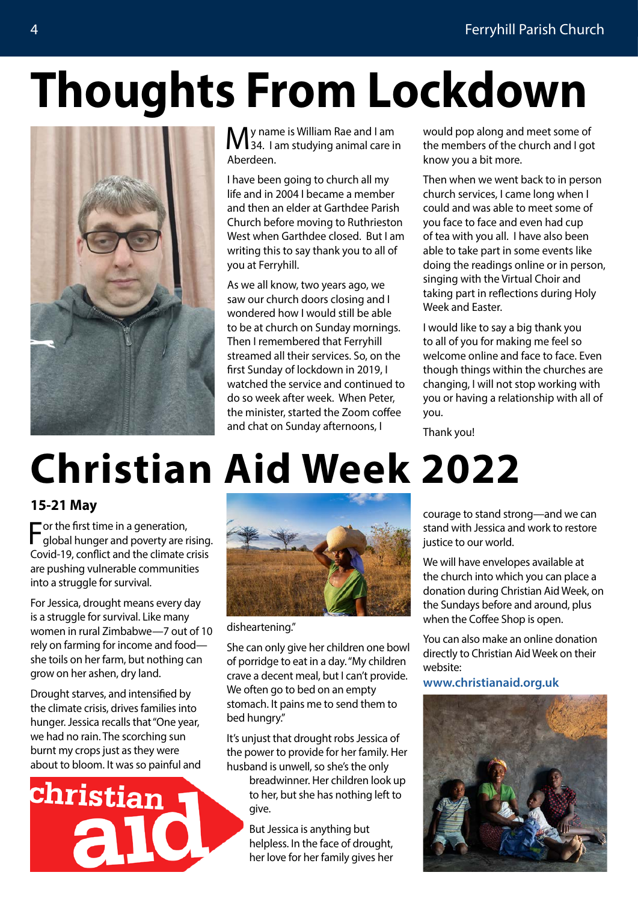## **Thoughts From Lockdown**



My name is William Rae and I am<br>
M34. I am studying animal care in Aberdeen.

I have been going to church all my life and in 2004 I became a member and then an elder at Garthdee Parish Church before moving to Ruthrieston West when Garthdee closed. But I am writing this to say thank you to all of you at Ferryhill.

As we all know, two years ago, we saw our church doors closing and I wondered how I would still be able to be at church on Sunday mornings. Then I remembered that Ferryhill streamed all their services. So, on the first Sunday of lockdown in 2019, I watched the service and continued to do so week after week. When Peter, the minister, started the Zoom coffee and chat on Sunday afternoons, I

would pop along and meet some of the members of the church and I got know you a bit more.

Then when we went back to in person church services, I came long when I could and was able to meet some of you face to face and even had cup of tea with you all. I have also been able to take part in some events like doing the readings online or in person, singing with the Virtual Choir and taking part in reflections during Holy Week and Easter.

I would like to say a big thank you to all of you for making me feel so welcome online and face to face. Even though things within the churches are changing, I will not stop working with you or having a relationship with all of you.

Thank you!

### **Christian Aid Week 2022**

#### **15-21 May**

For the first time in a generation, global hunger and poverty are rising. Covid-19, conflict and the climate crisis are pushing vulnerable communities into a struggle for survival.

For Jessica, drought means every day is a struggle for survival. Like many women in rural Zimbabwe—7 out of 10 rely on farming for income and food she toils on her farm, but nothing can grow on her ashen, dry land.

Drought starves, and intensified by the climate crisis, drives families into hunger. Jessica recalls that "One year, we had no rain. The scorching sun burnt my crops just as they were about to bloom. It was so painful and





disheartening."

She can only give her children one bowl of porridge to eat in a day. "My children crave a decent meal, but I can't provide. We often go to bed on an empty stomach. It pains me to send them to bed hungry."

It's unjust that drought robs Jessica of the power to provide for her family. Her husband is unwell, so she's the only

breadwinner. Her children look up to her, but she has nothing left to give.

But Jessica is anything but helpless. In the face of drought, her love for her family gives her

courage to stand strong—and we can stand with Jessica and work to restore justice to our world.

We will have envelopes available at the church into which you can place a donation during Christian Aid Week, on the Sundays before and around, plus when the Coffee Shop is open.

You can also make an online donation directly to Christian Aid Week on their website:

**[www.christianaid.org.uk](http://www.christianaid.org.uk)**

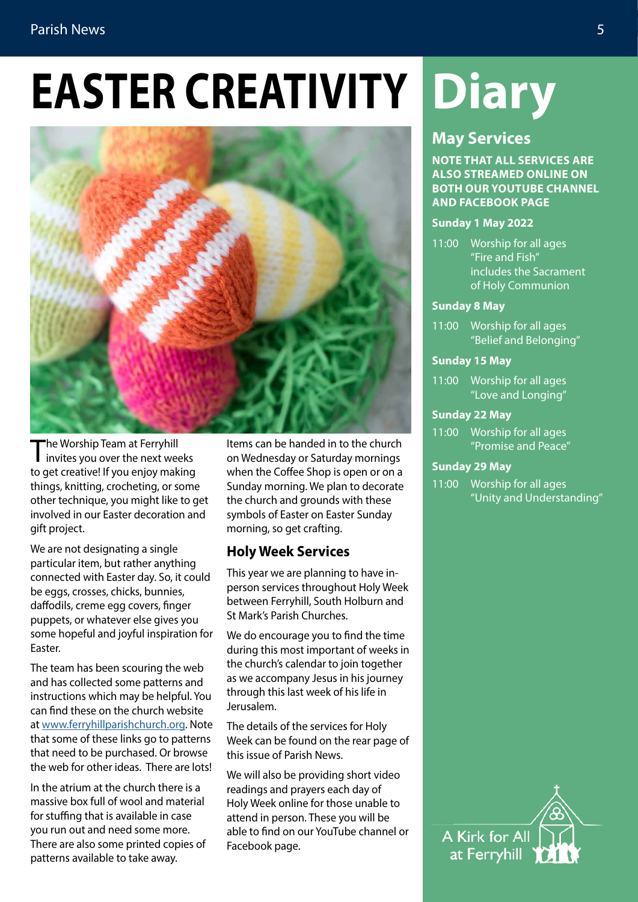#### Parish News 5

## **EASTER CREATIVITY Diary**



The Worship Team at Ferryhill<br>invites you over the next weeks to get creative! If you enjoy making things, knitting, crocheting, or some other technique, you might like to get involved in our Easter decoration and gift project.

We are not designating a single particular item, but rather anything connected with Easter day. So, it could be eggs, crosses, chicks, bunnies, daffodils, creme egg covers, finger puppets, or whatever else gives you some hopeful and joyful inspiration for Easter.

The team has been scouring the web and has collected some patterns and instructions which may be helpful. You can find these on the church website at [www.ferryhillparishchurch.org.](http://www.ferryhillparishchurch.org) Note that some of these links go to patterns that need to be purchased. Or browse the web for other ideas. There are lots!

In the atrium at the church there is a massive box full of wool and material for stuffing that is available in case you run out and need some more. There are also some printed copies of patterns available to take away.

Items can be handed in to the church on Wednesday or Saturday mornings when the Coffee Shop is open or on a Sunday morning. We plan to decorate the church and grounds with these symbols of Easter on Easter Sunday morning, so get crafting.

#### **Holy Week Services**

This year we are planning to have inperson services throughout Holy Week between Ferryhill, South Holburn and St Mark's Parish Churches.

We do encourage you to find the time during this most important of weeks in the church's calendar to join together as we accompany Jesus in his journey through this last week of his life in Jerusalem.

The details of the services for Holy Week can be found on the rear page of this issue of Parish News.

We will also be providing short video readings and prayers each day of Holy Week online for those unable to attend in person. These you will be able to find on our YouTube channel or Facebook page.

#### **May Services**

**NOTE THAT ALL SERVICES ARE ALSO STREAMED ONLINE ON BOTH OUR YOUTUBE CHANNEL AND FACEBOOK PAGE**

#### **Sunday 1 May 2022**

11:00 Worship for all ages "Fire and Fish" includes the Sacrament of Holy Communion

#### **Sunday 8 May**

11:00 Worship for all ages "Belief and Belonging"

#### **Sunday 15 May**

11:00 Worship for all ages "Love and Longing"

#### **Sunday 22 May**

11:00 Worship for all ages "Promise and Peace"

#### **Sunday 29 May**

11:00 Worship for all ages "Unity and Understanding"

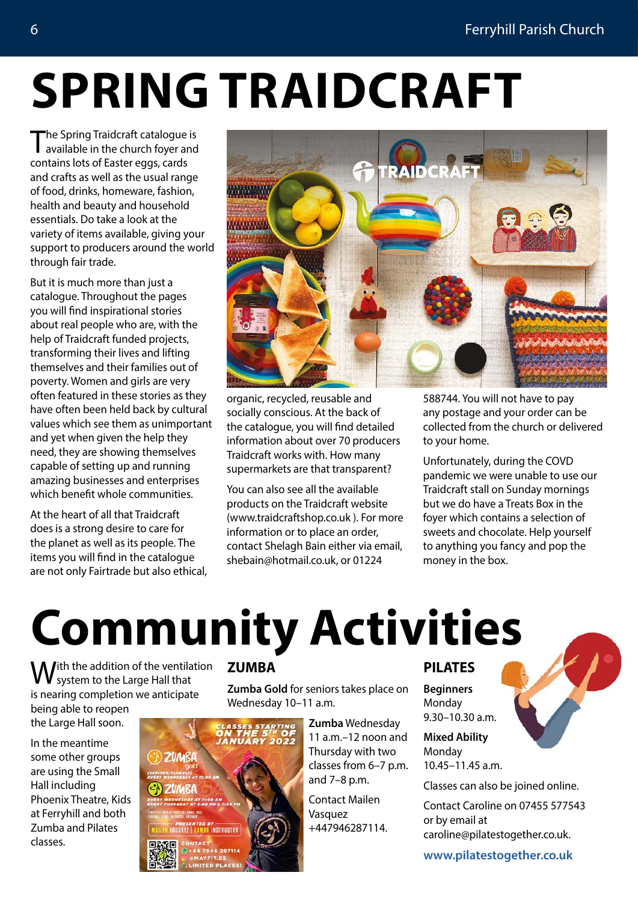### **SPRING TRAIDCRAFT**

The Spring Traidcraft catalogue is<br>available in the church foyer and contains lots of Easter eggs, cards and crafts as well as the usual range of food, drinks, homeware, fashion, health and beauty and household essentials. Do take a look at the variety of items available, giving your support to producers around the world through fair trade.

But it is much more than just a catalogue. Throughout the pages you will find inspirational stories about real people who are, with the help of Traidcraft funded projects, transforming their lives and lifting themselves and their families out of poverty. Women and girls are very often featured in these stories as they have often been held back by cultural values which see them as unimportant and yet when given the help they need, they are showing themselves capable of setting up and running amazing businesses and enterprises which benefit whole communities.

At the heart of all that Traidcraft does is a strong desire to care for the planet as well as its people. The items you will find in the catalogue are not only Fairtrade but also ethical,



organic, recycled, reusable and socially conscious. At the back of the catalogue, you will find detailed information about over 70 producers Traidcraft works with. How many supermarkets are that transparent?

You can also see all the available products on the Traidcraft website (www.traidcraftshop.co.uk ). For more information or to place an order, contact Shelagh Bain either via email, shebain@hotmail.co.uk, or 01224

588744. You will not have to pay any postage and your order can be collected from the church or delivered to your home.

Unfortunately, during the COVD pandemic we were unable to use our Traidcraft stall on Sunday mornings but we do have a Treats Box in the foyer which contains a selection of sweets and chocolate. Help yourself to anything you fancy and pop the money in the box.

### **Community Activities**

**W** ith the addition of the ventilation<br>We system to the Large Hall that is nearing completion we anticipate being able to reopen

In the meantime some other groups are using the Small Hall including Phoenix Theatre, Kids at Ferryhill and both Zumba and Pilates classes.

the Large Hall soon.

#### **ZUMBA**

**Zumba Gold** for seniors takes place on Wednesday 10–11 a.m.

**ZUMBI** INSTRUCTOR **Zumba** Wednesday 11 a.m.–12 noon and Thursday with two classes from 6–7 p.m. and 7–8 p.m.

Contact Mailen Vasquez +447946287114.

#### **PILATES**

**Beginners** Monday 9.30–10.30 a.m.

**Mixed Ability** Monday 10.45–11.45 a.m.

Classes can also be joined online.

Contact Caroline on 07455 577543 or by email at caroline@pilatestogether.co.uk.

**[www.pilatestogether.co.uk](http://www.pilatestogether.co.uk)**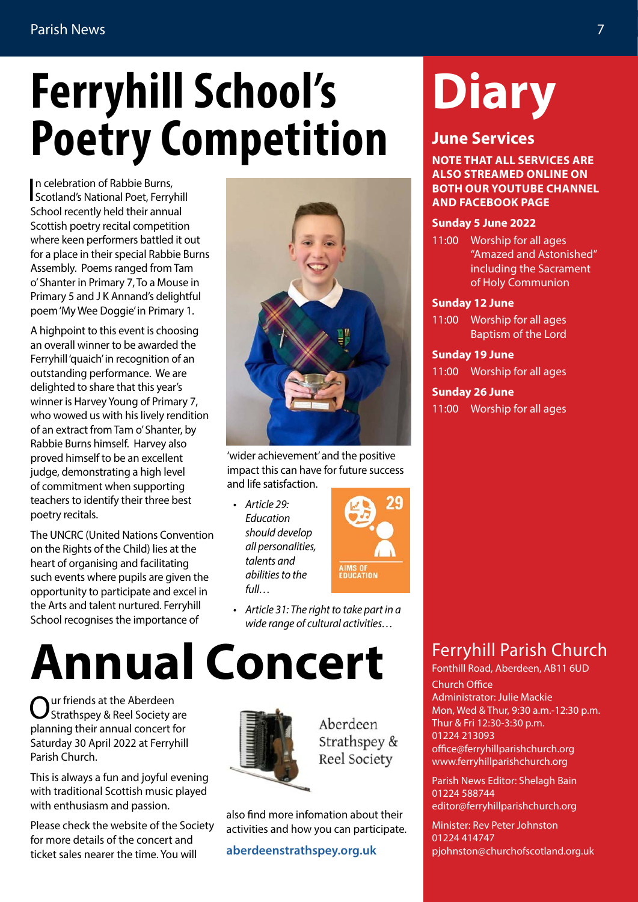### **Ferryhill School's Poetry Competition**

In celebration of Rabbie Burns,<br>Scotland's National Poet, Ferryhill n celebration of Rabbie Burns, School recently held their annual Scottish poetry recital competition where keen performers battled it out for a place in their special Rabbie Burns Assembly. Poems ranged from Tam o' Shanter in Primary 7, To a Mouse in Primary 5 and J K Annand's delightful poem 'My Wee Doggie' in Primary 1.

A highpoint to this event is choosing an overall winner to be awarded the Ferryhill 'quaich' in recognition of an outstanding performance. We are delighted to share that this year's winner is Harvey Young of Primary 7, who wowed us with his lively rendition of an extract from Tam o' Shanter, by Rabbie Burns himself. Harvey also proved himself to be an excellent judge, demonstrating a high level of commitment when supporting teachers to identify their three best poetry recitals.

The UNCRC (United Nations Convention on the Rights of the Child) lies at the heart of organising and facilitating such events where pupils are given the opportunity to participate and excel in the Arts and talent nurtured. Ferryhill School recognises the importance of

### **Annual Concert**

Our friends at the Aberdeen Strathspey & Reel Society are planning their annual concert for Saturday 30 April 2022 at Ferryhill Parish Church.

This is always a fun and joyful evening with traditional Scottish music played with enthusiasm and passion.

Please check the website of the Society for more details of the concert and ticket sales nearer the time. You will



'wider achievement' and the positive impact this can have for future success and life satisfaction.

*• Article 29: Education should develop all personalities, talents and abilities to the full…*



*• Article 31: The right to take part in a wide range of cultural activities…*

also find more infomation about their activities and how you can participate.

Aberdeen Strathspey & Reel Society

**[aberdeenstrathspey.org.uk](http://aberdeenstrathspey.org.uk)**

### Ferryhill Parish Church

Fonthill Road, Aberdeen, AB11 6UD Church Office Administrator: Julie Mackie Mon, Wed & Thur, 9:30 a.m.-12:30 p.m. Thur & Fri 12:30-3:30 p.m. 01224 213093 office@ferryhillparishchurch.org www.ferryhillparishchurch.org

Parish News Editor: Shelagh Bain 01224 588744 editor@ferryhillparishchurch.org

Minister: Rev Peter Johnston 01224 414747 pjohnston@churchofscotland.org.uk

# **Diary**

### **June Services**

**NOTE THAT ALL SERVICES ARE ALSO STREAMED ONLINE ON BOTH OUR YOUTUBE CHANNEL AND FACEBOOK PAGE** 

#### **Sunday 5 June 2022**

11:00 Worship for all ages "Amazed and Astonished" including the Sacrament of Holy Communion

#### **Sunday 12 June**

11:00 Worship for all ages Baptism of the Lord

**Sunday 19 June**

11:00 Worship for all ages

**Sunday 26 June** 11:00 Worship for all ages